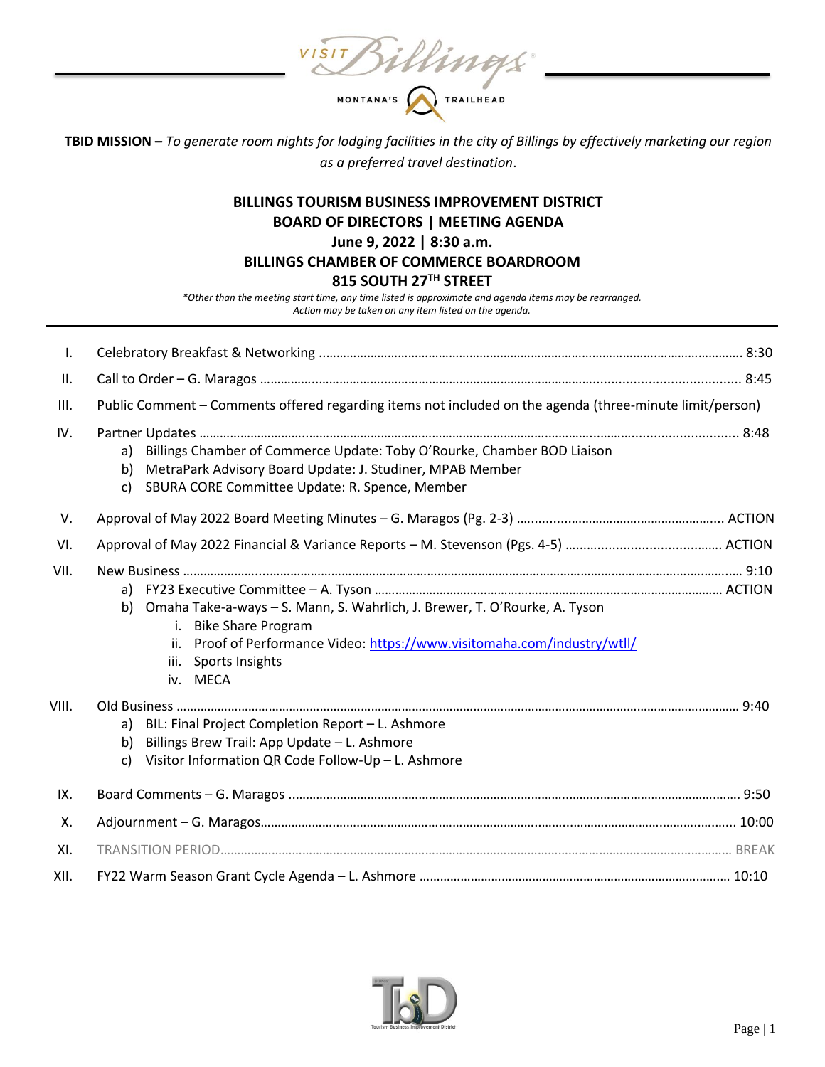VISIT Billings

**TBID MISSION –** *To generate room nights for lodging facilities in the city of Billings by effectively marketing our region as a preferred travel destination*.

# **BILLINGS TOURISM BUSINESS IMPROVEMENT DISTRICT BOARD OF DIRECTORS | MEETING AGENDA June 9, 2022 | 8:30 a.m. BILLINGS CHAMBER OF COMMERCE BOARDROOM 815 SOUTH 27TH STREET**

*\*Other than the meeting start time, any time listed is approximate and agenda items may be rearranged. Action may be taken on any item listed on the agenda.*

| $\mathbf{I}$ . |                                                                                                                                                                                                                                               |
|----------------|-----------------------------------------------------------------------------------------------------------------------------------------------------------------------------------------------------------------------------------------------|
| II.            |                                                                                                                                                                                                                                               |
| III.           | Public Comment – Comments offered regarding items not included on the agenda (three-minute limit/person)                                                                                                                                      |
| IV.            | Billings Chamber of Commerce Update: Toby O'Rourke, Chamber BOD Liaison<br>a)<br>MetraPark Advisory Board Update: J. Studiner, MPAB Member<br>b)<br>SBURA CORE Committee Update: R. Spence, Member<br>c)                                      |
| V.             |                                                                                                                                                                                                                                               |
| VI.            |                                                                                                                                                                                                                                               |
| VII.           | a)<br>Omaha Take-a-ways - S. Mann, S. Wahrlich, J. Brewer, T. O'Rourke, A. Tyson<br>b)<br><b>Bike Share Program</b><br>i.<br>ii. Proof of Performance Video: https://www.visitomaha.com/industry/wtll/<br>Sports Insights<br>iii.<br>iv. MECA |
| VIII.          | a) BIL: Final Project Completion Report - L. Ashmore<br>Billings Brew Trail: App Update - L. Ashmore<br>b)<br>Visitor Information QR Code Follow-Up - L. Ashmore<br>c)                                                                        |
| IX.            |                                                                                                                                                                                                                                               |
| Χ.             |                                                                                                                                                                                                                                               |
| XI.            |                                                                                                                                                                                                                                               |
| XII.           |                                                                                                                                                                                                                                               |

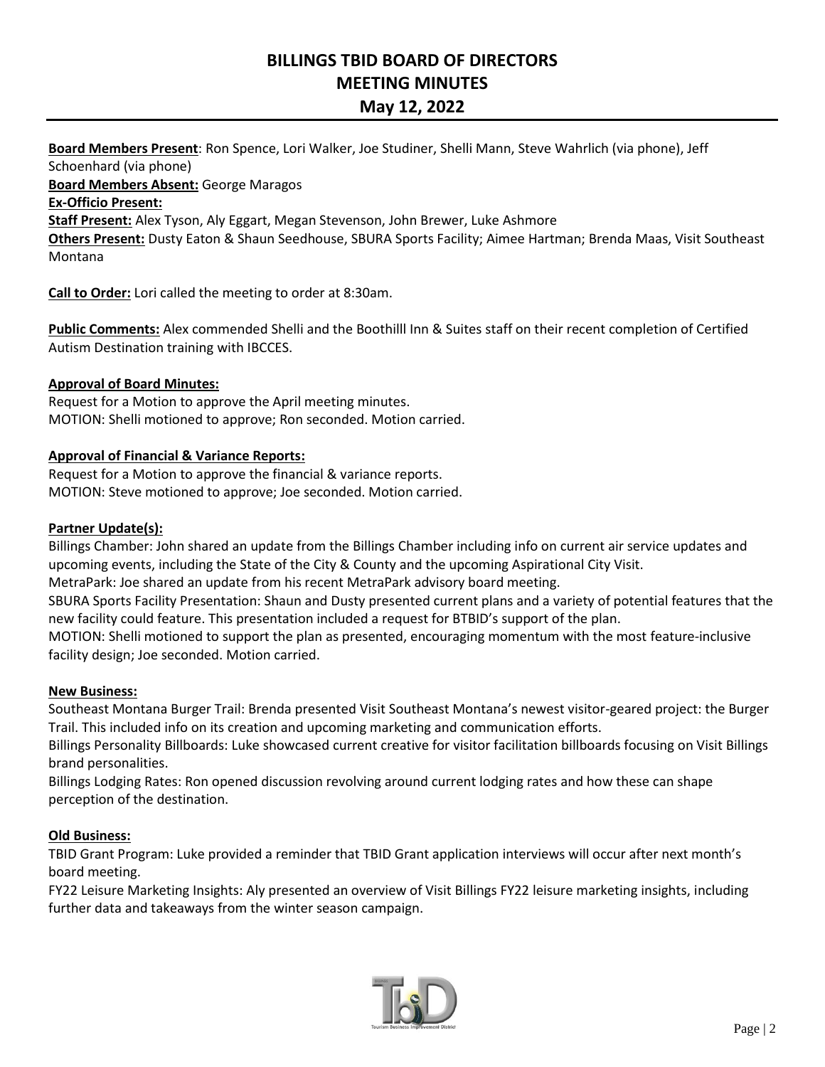# **BILLINGS TBID BOARD OF DIRECTORS MEETING MINUTES May 12, 2022**

**Board Members Present**: Ron Spence, Lori Walker, Joe Studiner, Shelli Mann, Steve Wahrlich (via phone), Jeff Schoenhard (via phone) **Board Members Absent:** George Maragos

**Ex-Officio Present:** 

**Staff Present:** Alex Tyson, Aly Eggart, Megan Stevenson, John Brewer, Luke Ashmore

**Others Present:** Dusty Eaton & Shaun Seedhouse, SBURA Sports Facility; Aimee Hartman; Brenda Maas, Visit Southeast Montana

**Call to Order:** Lori called the meeting to order at 8:30am.

**Public Comments:** Alex commended Shelli and the Boothilll Inn & Suites staff on their recent completion of Certified Autism Destination training with IBCCES.

# **Approval of Board Minutes:**

Request for a Motion to approve the April meeting minutes. MOTION: Shelli motioned to approve; Ron seconded. Motion carried.

# **Approval of Financial & Variance Reports:**

Request for a Motion to approve the financial & variance reports. MOTION: Steve motioned to approve; Joe seconded. Motion carried.

### **Partner Update(s):**

Billings Chamber: John shared an update from the Billings Chamber including info on current air service updates and upcoming events, including the State of the City & County and the upcoming Aspirational City Visit.

MetraPark: Joe shared an update from his recent MetraPark advisory board meeting.

SBURA Sports Facility Presentation: Shaun and Dusty presented current plans and a variety of potential features that the new facility could feature. This presentation included a request for BTBID's support of the plan.

MOTION: Shelli motioned to support the plan as presented, encouraging momentum with the most feature-inclusive facility design; Joe seconded. Motion carried.

### **New Business:**

Southeast Montana Burger Trail: Brenda presented Visit Southeast Montana's newest visitor-geared project: the Burger Trail. This included info on its creation and upcoming marketing and communication efforts.

Billings Personality Billboards: Luke showcased current creative for visitor facilitation billboards focusing on Visit Billings brand personalities.

Billings Lodging Rates: Ron opened discussion revolving around current lodging rates and how these can shape perception of the destination.

### **Old Business:**

TBID Grant Program: Luke provided a reminder that TBID Grant application interviews will occur after next month's board meeting.

FY22 Leisure Marketing Insights: Aly presented an overview of Visit Billings FY22 leisure marketing insights, including further data and takeaways from the winter season campaign.